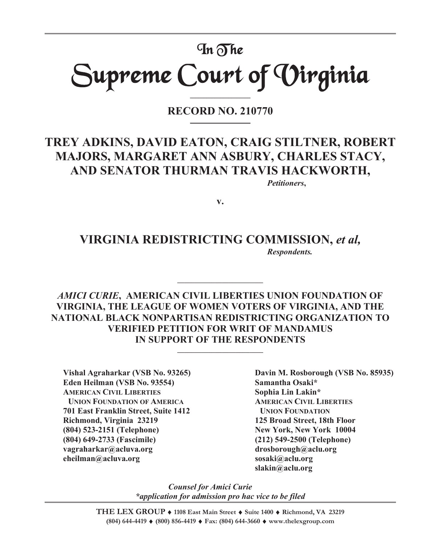# In The Supreme Court of Virginia

**RECORD NO. 210770** 

**\_\_\_\_\_\_\_\_\_\_\_\_\_\_\_\_\_\_\_\_\_\_** 

## **TREY ADKINS, DAVID EATON, CRAIG STILTNER, ROBERT MAJORS, MARGARET ANN ASBURY, CHARLES STACY, AND SENATOR THURMAN TRAVIS HACKWORTH,**

*Petitioners***,** 

**v.** 

## **VIRGINIA REDISTRICTING COMMISSION,** *et al, Respondents.*

**\_\_\_\_\_\_\_\_\_\_\_\_\_\_\_\_\_\_\_\_\_\_\_\_\_** 

*AMICI CURIE***, AMERICAN CIVIL LIBERTIES UNION FOUNDATION OF VIRGINIA, THE LEAGUE OF WOMEN VOTERS OF VIRGINIA, AND THE NATIONAL BLACK NONPARTISAN REDISTRICTING ORGANIZATION TO VERIFIED PETITION FOR WRIT OF MANDAMUS**  IN SUPPORT OF THE RESPONDENTS

Eden Heilman (VSB No. 93554) Samantha Osaki\* **AMERICAN CIVIL LIBERTIES** Sophia Lin Lakin\* **UNION FOUNDATION OF AMERICA AMERICAN CIVIL LIBERTIES 701 East Franklin Street, Suite 1412 UNION FOUNDATION Richmond, Virginia 23219 125 Broad Street, 18th Floor (804) 523-2151 (Telephone) New York, New York 10004 (804) 649-2733 (Fascimile) (212) 549-2500 (Telephone) vagraharkar@acluva.org drosborough@aclu.org eheilman@acluva.org sosaki@aclu.org** 

**Vishal Agraharkar (VSB No. 93265) Davin M. Rosborough (VSB No. 85935) slakin@aclu.org** 

> *Counsel for Amici Curie \*application for admission pro hac vice to be filed*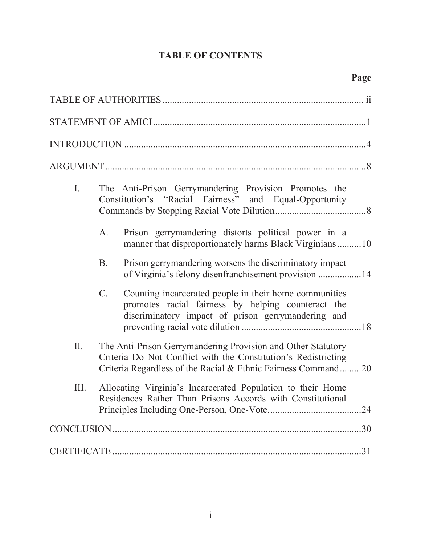## **TABLE OF CONTENTS**

| Ι.   |                                                                                                                                                                                                 | The Anti-Prison Gerrymandering Provision Promotes the<br>Constitution's "Racial Fairness" and Equal-Opportunity                                                    |  |
|------|-------------------------------------------------------------------------------------------------------------------------------------------------------------------------------------------------|--------------------------------------------------------------------------------------------------------------------------------------------------------------------|--|
|      | A.                                                                                                                                                                                              | Prison gerrymandering distorts political power in a<br>manner that disproportionately harms Black Virginians10                                                     |  |
|      | <b>B.</b>                                                                                                                                                                                       | Prison gerrymandering worsens the discriminatory impact<br>of Virginia's felony disenfranchisement provision  14                                                   |  |
|      | $C_{\cdot}$                                                                                                                                                                                     | Counting incarcerated people in their home communities<br>promotes racial fairness by helping counteract the<br>discriminatory impact of prison gerrymandering and |  |
| II.  | The Anti-Prison Gerrymandering Provision and Other Statutory<br>Criteria Do Not Conflict with the Constitution's Redistricting<br>Criteria Regardless of the Racial & Ethnic Fairness Command20 |                                                                                                                                                                    |  |
| III. | Allocating Virginia's Incarcerated Population to their Home<br>Residences Rather Than Prisons Accords with Constitutional                                                                       |                                                                                                                                                                    |  |
|      |                                                                                                                                                                                                 |                                                                                                                                                                    |  |
|      |                                                                                                                                                                                                 |                                                                                                                                                                    |  |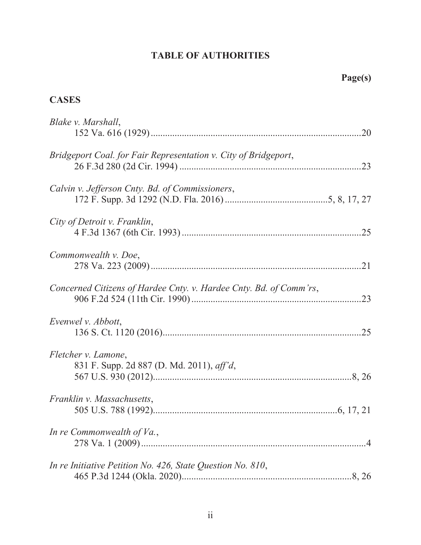## **TABLE OF AUTHORITIES**

## **CASES**

| Blake v. Marshall,                                                 |
|--------------------------------------------------------------------|
| Bridgeport Coal. for Fair Representation v. City of Bridgeport,    |
| Calvin v. Jefferson Cnty. Bd. of Commissioners,                    |
| City of Detroit v. Franklin,                                       |
| Commonwealth v. Doe,                                               |
| Concerned Citizens of Hardee Cnty. v. Hardee Cnty. Bd. of Comm'rs, |
| Evenwel v. Abbott,                                                 |
| Fletcher v. Lamone,<br>831 F. Supp. 2d 887 (D. Md. 2011), aff'd,   |
| Franklin v. Massachusetts,                                         |
| In re Commonwealth of $Va$ ,                                       |
| In re Initiative Petition No. 426, State Question No. 810,         |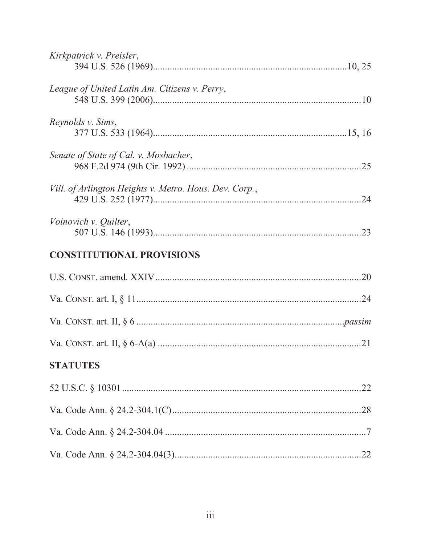| Kirkpatrick v. Preisler,                               |
|--------------------------------------------------------|
| League of United Latin Am. Citizens v. Perry,          |
| Reynolds v. Sims,                                      |
| Senate of State of Cal. v. Mosbacher,                  |
| Vill. of Arlington Heights v. Metro. Hous. Dev. Corp., |
| Voinovich v. Quilter,                                  |
| <b>CONSTITUTIONAL PROVISIONS</b>                       |
|                                                        |
|                                                        |
|                                                        |
|                                                        |
| <b>STATUTES</b>                                        |
|                                                        |
|                                                        |
|                                                        |
|                                                        |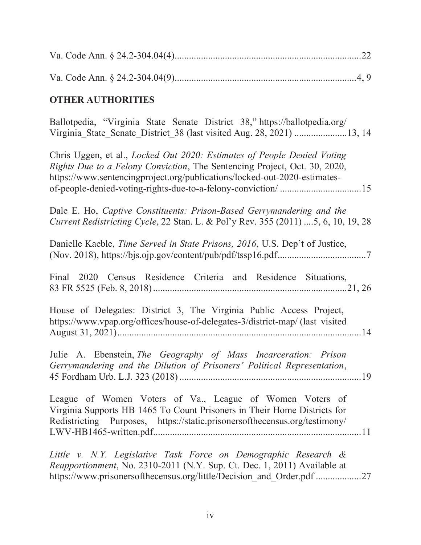## **OTHER AUTHORITIES**

| Ballotpedia, "Virginia State Senate District 38," https://ballotpedia.org/<br>Virginia State Senate District 38 (last visited Aug. 28, 2021) 13, 14                                                                               |
|-----------------------------------------------------------------------------------------------------------------------------------------------------------------------------------------------------------------------------------|
| Chris Uggen, et al., Locked Out 2020: Estimates of People Denied Voting<br>Rights Due to a Felony Conviction, The Sentencing Project, Oct. 30, 2020,<br>https://www.sentencingproject.org/publications/locked-out-2020-estimates- |
| Dale E. Ho, Captive Constituents: Prison-Based Gerrymandering and the<br>Current Redistricting Cycle, 22 Stan. L. & Pol'y Rev. 355 (2011)  5, 6, 10, 19, 28                                                                       |
| Danielle Kaeble, Time Served in State Prisons, 2016, U.S. Dep't of Justice,                                                                                                                                                       |
| Final 2020 Census Residence Criteria and Residence Situations,                                                                                                                                                                    |
| House of Delegates: District 3, The Virginia Public Access Project,<br>https://www.vpap.org/offices/house-of-delegates-3/district-map/ (last visited                                                                              |
| Julie A. Ebenstein, The Geography of Mass Incarceration: Prison<br>Gerrymandering and the Dilution of Prisoners' Political Representation,                                                                                        |
| League of Women Voters of Va., League of Women Voters of<br>Virginia Supports HB 1465 To Count Prisoners in Their Home Districts for<br>Redistricting Purposes, https://static.prisonersofthecensus.org/testimony/                |
| Little v. N.Y. Legislative Task Force on Demographic Research &<br>Reapportionment, No. 2310-2011 (N.Y. Sup. Ct. Dec. 1, 2011) Available at<br>https://www.prisonersofthecensus.org/little/Decision and Order.pdf 27              |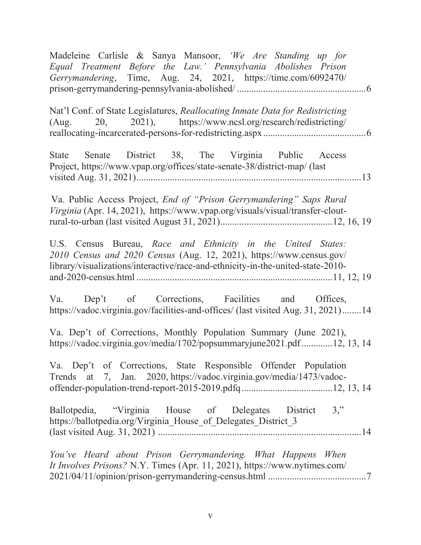| Madeleine Carlisle & Sanya Mansoor, 'We Are Standing up for<br>Equal Treatment Before the Law.' Pennsylvania Abolishes Prison<br>Gerrymandering, Time, Aug. 24, 2021, https://time.com/6092470/                         |
|-------------------------------------------------------------------------------------------------------------------------------------------------------------------------------------------------------------------------|
| Nat'l Conf. of State Legislatures, Reallocating Inmate Data for Redistricting<br>(Aug. 20, 2021), https://www.ncsl.org/research/redistricting/                                                                          |
| State Senate District 38, The Virginia Public Access<br>Project, https://www.vpap.org/offices/state-senate-38/district-map/ (last                                                                                       |
| Va. Public Access Project, End of "Prison Gerrymandering" Saps Rural<br>Virginia (Apr. 14, 2021), https://www.vpap.org/visuals/visual/transfer-clout-                                                                   |
| U.S. Census Bureau, Race and Ethnicity in the United States:<br>2010 Census and 2020 Census (Aug. 12, 2021), https://www.census.gov/<br>library/visualizations/interactive/race-and-ethnicity-in-the-united-state-2010- |
| Va. Dep't of Corrections, Facilities and Offices,<br>https://vadoc.virginia.gov/facilities-and-offices/ (last visited Aug. 31, 2021)14                                                                                  |
| Va. Dep't of Corrections, Monthly Population Summary (June 2021),<br>https://vadoc.virginia.gov/media/1702/popsummaryjune2021.pdf12, 13, 14                                                                             |
| Va. Dep't of Corrections, State Responsible Offender Population<br>Trends at 7, Jan. 2020, https://vadoc.virginia.gov/media/1473/vadoc-                                                                                 |
| Ballotpedia, "Virginia House of Delegates District 3,"<br>https://ballotpedia.org/Virginia House of Delegates District 3                                                                                                |
| You've Heard about Prison Gerrymandering. What Happens When<br>It Involves Prisons? N.Y. Times (Apr. 11, 2021), https://www.nytimes.com/                                                                                |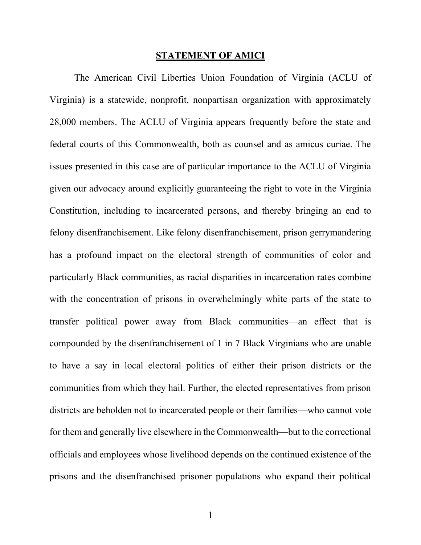#### **STATEMENT OF AMICI**

The American Civil Liberties Union Foundation of Virginia (ACLU of Virginia) is a statewide, nonprofit, nonpartisan organization with approximately 28,000 members. The ACLU of Virginia appears frequently before the state and federal courts of this Commonwealth, both as counsel and as amicus curiae. The issues presented in this case are of particular importance to the ACLU of Virginia given our advocacy around explicitly guaranteeing the right to vote in the Virginia Constitution, including to incarcerated persons, and thereby bringing an end to felony disenfranchisement. Like felony disenfranchisement, prison gerrymandering has a profound impact on the electoral strength of communities of color and particularly Black communities, as racial disparities in incarceration rates combine with the concentration of prisons in overwhelmingly white parts of the state to transfer political power away from Black communities—an effect that is compounded by the disenfranchisement of 1 in 7 Black Virginians who are unable to have a say in local electoral politics of either their prison districts or the communities from which they hail. Further, the elected representatives from prison districts are beholden not to incarcerated people or their families—who cannot vote for them and generally live elsewhere in the Commonwealth—but to the correctional officials and employees whose livelihood depends on the continued existence of the prisons and the disenfranchised prisoner populations who expand their political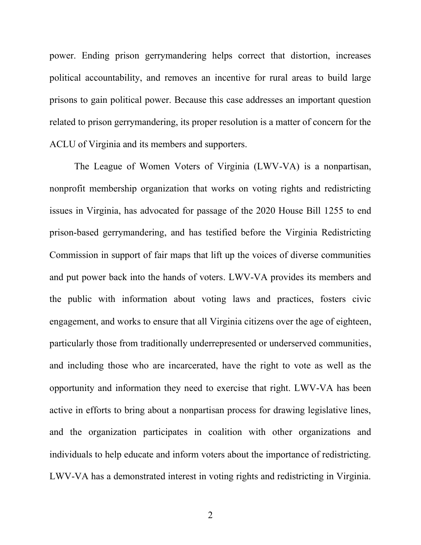power. Ending prison gerrymandering helps correct that distortion, increases political accountability, and removes an incentive for rural areas to build large prisons to gain political power. Because this case addresses an important question related to prison gerrymandering, its proper resolution is a matter of concern for the ACLU of Virginia and its members and supporters.

The League of Women Voters of Virginia (LWV-VA) is a nonpartisan, nonprofit membership organization that works on voting rights and redistricting issues in Virginia, has advocated for passage of the 2020 House Bill 1255 to end prison-based gerrymandering, and has testified before the Virginia Redistricting Commission in support of fair maps that lift up the voices of diverse communities and put power back into the hands of voters. LWV-VA provides its members and the public with information about voting laws and practices, fosters civic engagement, and works to ensure that all Virginia citizens over the age of eighteen, particularly those from traditionally underrepresented or underserved communities, and including those who are incarcerated, have the right to vote as well as the opportunity and information they need to exercise that right. LWV-VA has been active in efforts to bring about a nonpartisan process for drawing legislative lines, and the organization participates in coalition with other organizations and individuals to help educate and inform voters about the importance of redistricting. LWV-VA has a demonstrated interest in voting rights and redistricting in Virginia.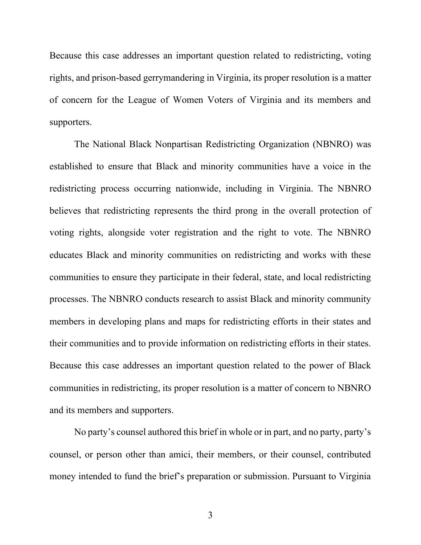Because this case addresses an important question related to redistricting, voting rights, and prison-based gerrymandering in Virginia, its proper resolution is a matter of concern for the League of Women Voters of Virginia and its members and supporters.

The National Black Nonpartisan Redistricting Organization (NBNRO) was established to ensure that Black and minority communities have a voice in the redistricting process occurring nationwide, including in Virginia. The NBNRO believes that redistricting represents the third prong in the overall protection of voting rights, alongside voter registration and the right to vote. The NBNRO educates Black and minority communities on redistricting and works with these communities to ensure they participate in their federal, state, and local redistricting processes. The NBNRO conducts research to assist Black and minority community members in developing plans and maps for redistricting efforts in their states and their communities and to provide information on redistricting efforts in their states. Because this case addresses an important question related to the power of Black communities in redistricting, its proper resolution is a matter of concern to NBNRO and its members and supporters.

No party's counsel authored this brief in whole or in part, and no party, party's counsel, or person other than amici, their members, or their counsel, contributed money intended to fund the brief's preparation or submission. Pursuant to Virginia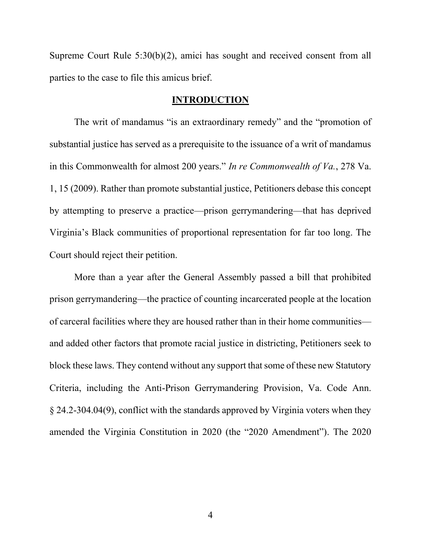Supreme Court Rule 5:30(b)(2), amici has sought and received consent from all parties to the case to file this amicus brief.

#### **INTRODUCTION**

The writ of mandamus "is an extraordinary remedy" and the "promotion of substantial justice has served as a prerequisite to the issuance of a writ of mandamus in this Commonwealth for almost 200 years." *In re Commonwealth of Va.*, 278 Va. 1, 15 (2009). Rather than promote substantial justice, Petitioners debase this concept by attempting to preserve a practice—prison gerrymandering—that has deprived Virginia's Black communities of proportional representation for far too long. The Court should reject their petition.

More than a year after the General Assembly passed a bill that prohibited prison gerrymandering—the practice of counting incarcerated people at the location of carceral facilities where they are housed rather than in their home communities and added other factors that promote racial justice in districting, Petitioners seek to block these laws. They contend without any support that some of these new Statutory Criteria, including the Anti-Prison Gerrymandering Provision, Va. Code Ann. § 24.2-304.04(9), conflict with the standards approved by Virginia voters when they amended the Virginia Constitution in 2020 (the "2020 Amendment"). The 2020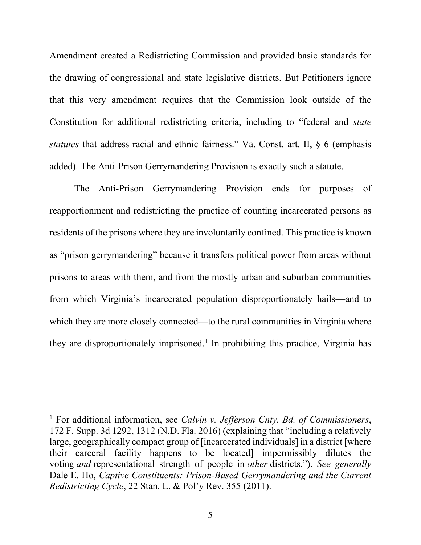Amendment created a Redistricting Commission and provided basic standards for the drawing of congressional and state legislative districts. But Petitioners ignore that this very amendment requires that the Commission look outside of the Constitution for additional redistricting criteria, including to "federal and *state statutes* that address racial and ethnic fairness." Va. Const. art. II, § 6 (emphasis added). The Anti-Prison Gerrymandering Provision is exactly such a statute.

The Anti-Prison Gerrymandering Provision ends for purposes of reapportionment and redistricting the practice of counting incarcerated persons as residents of the prisons where they are involuntarily confined. This practice is known as "prison gerrymandering" because it transfers political power from areas without prisons to areas with them, and from the mostly urban and suburban communities from which Virginia's incarcerated population disproportionately hails—and to which they are more closely connected—to the rural communities in Virginia where they are disproportionately imprisoned.<sup>1</sup> In prohibiting this practice, Virginia has

<sup>1</sup> For additional information, see *Calvin v. Jefferson Cnty. Bd. of Commissioners*, 172 F. Supp. 3d 1292, 1312 (N.D. Fla. 2016) (explaining that "including a relatively large, geographically compact group of [incarcerated individuals] in a district [where their carceral facility happens to be located] impermissibly dilutes the voting *and* representational strength of people in *other* districts."). *See generally* Dale E. Ho, *Captive Constituents: Prison-Based Gerrymandering and the Current Redistricting Cycle*, 22 Stan. L. & Pol'y Rev. 355 (2011).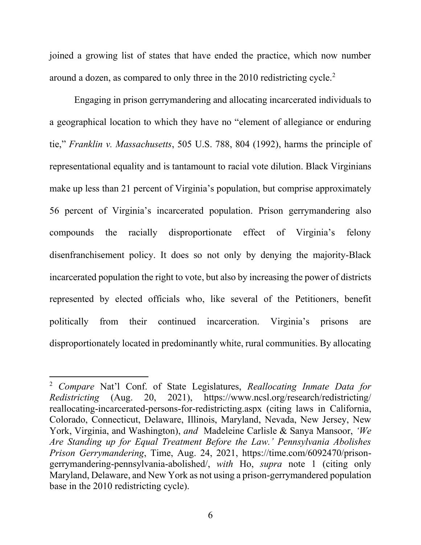joined a growing list of states that have ended the practice, which now number around a dozen, as compared to only three in the  $2010$  redistricting cycle.<sup>2</sup>

Engaging in prison gerrymandering and allocating incarcerated individuals to a geographical location to which they have no "element of allegiance or enduring tie," *Franklin v. Massachusetts*, 505 U.S. 788, 804 (1992), harms the principle of representational equality and is tantamount to racial vote dilution. Black Virginians make up less than 21 percent of Virginia's population, but comprise approximately 56 percent of Virginia's incarcerated population. Prison gerrymandering also compounds the racially disproportionate effect of Virginia's felony disenfranchisement policy. It does so not only by denying the majority-Black incarcerated population the right to vote, but also by increasing the power of districts represented by elected officials who, like several of the Petitioners, benefit politically from their continued incarceration. Virginia's prisons are disproportionately located in predominantly white, rural communities. By allocating

<sup>2</sup> *Compare* Nat'l Conf. of State Legislatures, *Reallocating Inmate Data for Redistricting* (Aug. 20, 2021), https://www.ncsl.org/research/redistricting/ reallocating-incarcerated-persons-for-redistricting.aspx (citing laws in California, Colorado, Connecticut, Delaware, Illinois, Maryland, Nevada, New Jersey, New York, Virginia, and Washington), *and* Madeleine Carlisle & Sanya Mansoor, *'We Are Standing up for Equal Treatment Before the Law.' Pennsylvania Abolishes Prison Gerrymandering*, Time, Aug. 24, 2021, https://time.com/6092470/prisongerrymandering-pennsylvania-abolished/, *with* Ho, *supra* note 1 (citing only Maryland, Delaware, and New York as not using a prison-gerrymandered population base in the 2010 redistricting cycle).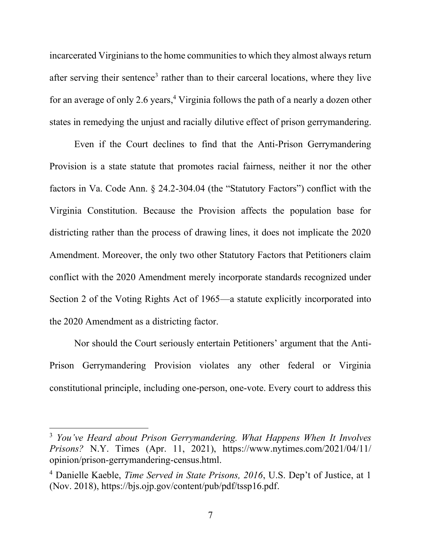incarcerated Virginians to the home communities to which they almost always return after serving their sentence<sup>3</sup> rather than to their carceral locations, where they live for an average of only 2.6 years, <sup>4</sup> Virginia follows the path of a nearly a dozen other states in remedying the unjust and racially dilutive effect of prison gerrymandering.

Even if the Court declines to find that the Anti-Prison Gerrymandering Provision is a state statute that promotes racial fairness, neither it nor the other factors in Va. Code Ann. § 24.2-304.04 (the "Statutory Factors") conflict with the Virginia Constitution. Because the Provision affects the population base for districting rather than the process of drawing lines, it does not implicate the 2020 Amendment. Moreover, the only two other Statutory Factors that Petitioners claim conflict with the 2020 Amendment merely incorporate standards recognized under Section 2 of the Voting Rights Act of 1965—a statute explicitly incorporated into the 2020 Amendment as a districting factor.

Nor should the Court seriously entertain Petitioners' argument that the Anti-Prison Gerrymandering Provision violates any other federal or Virginia constitutional principle, including one-person, one-vote. Every court to address this

<sup>&</sup>lt;sup>3</sup> *You've Heard about Prison Gerrymandering. What Happens When It Involves Prisons?* N.Y. Times (Apr. 11, 2021), https://www.nytimes.com/2021/04/11/ opinion/prison-gerrymandering-census.html.

<sup>4</sup> Danielle Kaeble, *Time Served in State Prisons, 2016*, U.S. Dep't of Justice, at 1 (Nov. 2018), https://bjs.ojp.gov/content/pub/pdf/tssp16.pdf.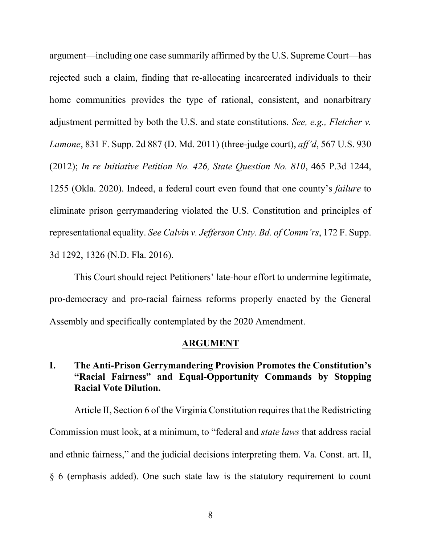argument—including one case summarily affirmed by the U.S. Supreme Court—has rejected such a claim, finding that re-allocating incarcerated individuals to their home communities provides the type of rational, consistent, and nonarbitrary adjustment permitted by both the U.S. and state constitutions. *See, e.g., Fletcher v. Lamone*, 831 F. Supp. 2d 887 (D. Md. 2011) (three-judge court), *aff'd*, 567 U.S. 930 (2012); *In re Initiative Petition No. 426, State Question No. 810*, 465 P.3d 1244, 1255 (Okla. 2020). Indeed, a federal court even found that one county's *failure* to eliminate prison gerrymandering violated the U.S. Constitution and principles of representational equality. *See Calvin v. Jefferson Cnty. Bd. of Comm'rs*, 172 F. Supp. 3d 1292, 1326 (N.D. Fla. 2016).

This Court should reject Petitioners' late-hour effort to undermine legitimate, pro-democracy and pro-racial fairness reforms properly enacted by the General Assembly and specifically contemplated by the 2020 Amendment.

#### **ARGUMENT**

## **I. The Anti-Prison Gerrymandering Provision Promotes the Constitution's "Racial Fairness" and Equal-Opportunity Commands by Stopping Racial Vote Dilution.**

Article II, Section 6 of the Virginia Constitution requires that the Redistricting Commission must look, at a minimum, to "federal and *state laws* that address racial and ethnic fairness," and the judicial decisions interpreting them. Va. Const. art. II, § 6 (emphasis added). One such state law is the statutory requirement to count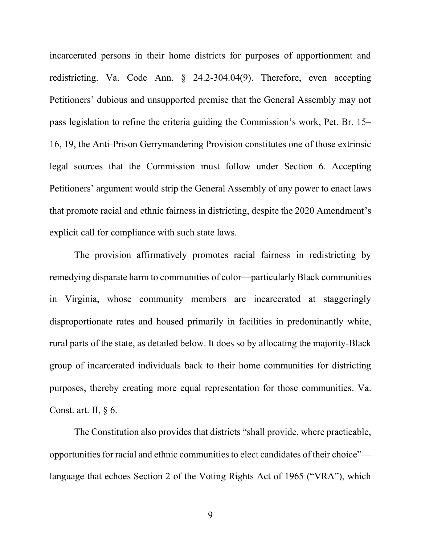incarcerated persons in their home districts for purposes of apportionment and redistricting. Va. Code Ann. § 24.2-304.04(9). Therefore, even accepting Petitioners' dubious and unsupported premise that the General Assembly may not pass legislation to refine the criteria guiding the Commission's work, Pet. Br. 15– 16, 19, the Anti-Prison Gerrymandering Provision constitutes one of those extrinsic legal sources that the Commission must follow under Section 6. Accepting Petitioners' argument would strip the General Assembly of any power to enact laws that promote racial and ethnic fairness in districting, despite the 2020 Amendment's explicit call for compliance with such state laws.

The provision affirmatively promotes racial fairness in redistricting by remedying disparate harm to communities of color—particularly Black communities in Virginia, whose community members are incarcerated at staggeringly disproportionate rates and housed primarily in facilities in predominantly white, rural parts of the state, as detailed below. It does so by allocating the majority-Black group of incarcerated individuals back to their home communities for districting purposes, thereby creating more equal representation for those communities. Va. Const. art. II, § 6.

The Constitution also provides that districts "shall provide, where practicable, opportunities for racial and ethnic communities to elect candidates of their choice" language that echoes Section 2 of the Voting Rights Act of 1965 ("VRA"), which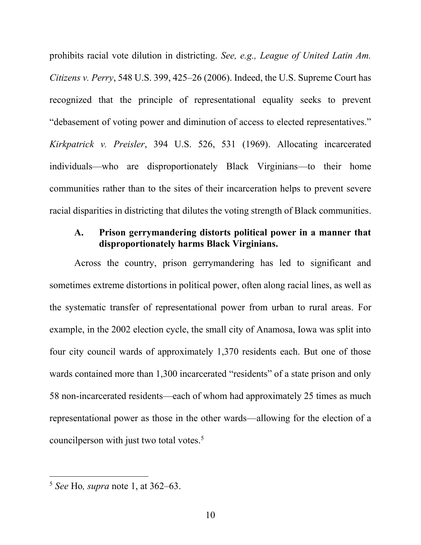prohibits racial vote dilution in districting. *See, e.g., League of United Latin Am. Citizens v. Perry*, 548 U.S. 399, 425–26 (2006). Indeed, the U.S. Supreme Court has recognized that the principle of representational equality seeks to prevent "debasement of voting power and diminution of access to elected representatives." *Kirkpatrick v. Preisler*, 394 U.S. 526, 531 (1969). Allocating incarcerated individuals—who are disproportionately Black Virginians—to their home communities rather than to the sites of their incarceration helps to prevent severe racial disparities in districting that dilutes the voting strength of Black communities.

## **A. Prison gerrymandering distorts political power in a manner that disproportionately harms Black Virginians.**

Across the country, prison gerrymandering has led to significant and sometimes extreme distortions in political power, often along racial lines, as well as the systematic transfer of representational power from urban to rural areas. For example, in the 2002 election cycle, the small city of Anamosa, Iowa was split into four city council wards of approximately 1,370 residents each. But one of those wards contained more than 1,300 incarcerated "residents" of a state prison and only 58 non-incarcerated residents—each of whom had approximately 25 times as much representational power as those in the other wards—allowing for the election of a councilperson with just two total votes.<sup>5</sup>

<sup>5</sup> *See* Ho*, supra* note 1, at 362–63.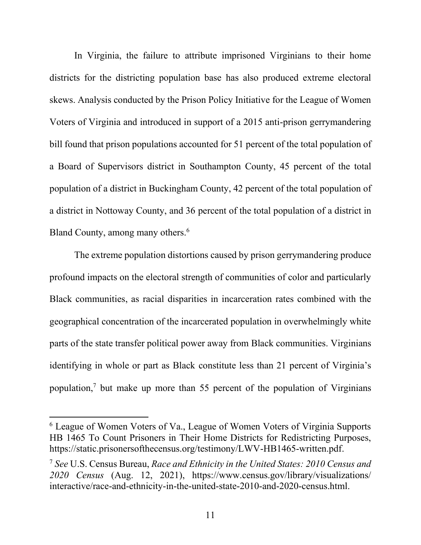In Virginia, the failure to attribute imprisoned Virginians to their home districts for the districting population base has also produced extreme electoral skews. Analysis conducted by the Prison Policy Initiative for the League of Women Voters of Virginia and introduced in support of a 2015 anti-prison gerrymandering bill found that prison populations accounted for 51 percent of the total population of a Board of Supervisors district in Southampton County, 45 percent of the total population of a district in Buckingham County, 42 percent of the total population of a district in Nottoway County, and 36 percent of the total population of a district in Bland County, among many others.<sup>6</sup>

The extreme population distortions caused by prison gerrymandering produce profound impacts on the electoral strength of communities of color and particularly Black communities, as racial disparities in incarceration rates combined with the geographical concentration of the incarcerated population in overwhelmingly white parts of the state transfer political power away from Black communities. Virginians identifying in whole or part as Black constitute less than 21 percent of Virginia's population,<sup>7</sup> but make up more than 55 percent of the population of Virginians

<sup>6</sup> League of Women Voters of Va., League of Women Voters of Virginia Supports HB 1465 To Count Prisoners in Their Home Districts for Redistricting Purposes, https://static.prisonersofthecensus.org/testimony/LWV-HB1465-written.pdf.

<sup>7</sup> *See* U.S. Census Bureau, *Race and Ethnicity in the United States: 2010 Census and 2020 Census* (Aug. 12, 2021), https://www.census.gov/library/visualizations/ interactive/race-and-ethnicity-in-the-united-state-2010-and-2020-census.html.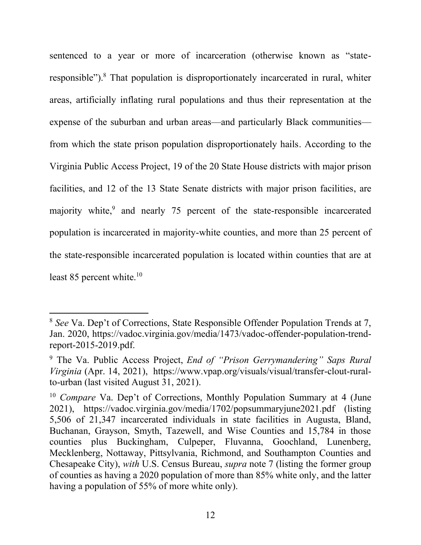sentenced to a year or more of incarceration (otherwise known as "stateresponsible").<sup>8</sup> That population is disproportionately incarcerated in rural, whiter areas, artificially inflating rural populations and thus their representation at the expense of the suburban and urban areas—and particularly Black communities from which the state prison population disproportionately hails. According to the Virginia Public Access Project, 19 of the 20 State House districts with major prison facilities, and 12 of the 13 State Senate districts with major prison facilities, are majority white,<sup>9</sup> and nearly 75 percent of the state-responsible incarcerated population is incarcerated in majority-white counties, and more than 25 percent of the state-responsible incarcerated population is located within counties that are at least  $85$  percent white.<sup>10</sup>

<sup>8</sup> *See* Va. Dep't of Corrections, State Responsible Offender Population Trends at 7, Jan. 2020, https://vadoc.virginia.gov/media/1473/vadoc-offender-population-trendreport-2015-2019.pdf.

<sup>9</sup> The Va. Public Access Project, *End of "Prison Gerrymandering" Saps Rural Virginia* (Apr. 14, 2021), https://www.vpap.org/visuals/visual/transfer-clout-ruralto-urban (last visited August 31, 2021).

<sup>&</sup>lt;sup>10</sup> *Compare* Va. Dep't of Corrections, Monthly Population Summary at 4 (June 2021), https://vadoc.virginia.gov/media/1702/popsummaryjune2021.pdf (listing 5,506 of 21,347 incarcerated individuals in state facilities in Augusta, Bland, Buchanan, Grayson, Smyth, Tazewell, and Wise Counties and 15,784 in those counties plus Buckingham, Culpeper, Fluvanna, Goochland, Lunenberg, Mecklenberg, Nottaway, Pittsylvania, Richmond, and Southampton Counties and Chesapeake City), *with* U.S. Census Bureau, *supra* note 7 (listing the former group of counties as having a 2020 population of more than 85% white only, and the latter having a population of 55% of more white only).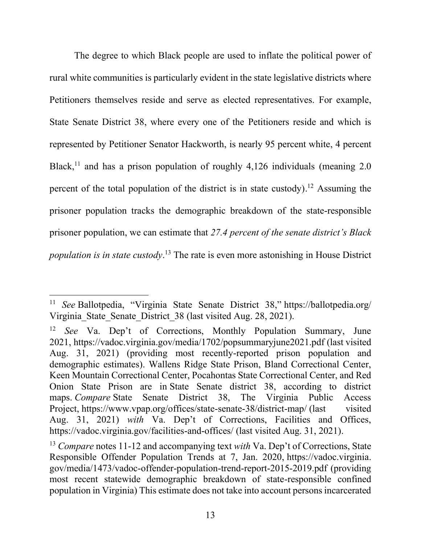<span id="page-18-0"></span>The degree to which Black people are used to inflate the political power of rural white communities is particularly evident in the state legislative districts where Petitioners themselves reside and serve as elected representatives. For example, State Senate District 38, where every one of the Petitioners reside and which is represented by Petitioner Senator Hackworth, is nearly 95 percent white, 4 percent Black,<sup>11</sup> and has a prison population of roughly  $4,126$  individuals (meaning 2.0) percent of the total population of the district is in state custody). <sup>12</sup> Assuming the prisoner population tracks the demographic breakdown of the state-responsible prisoner population, we can estimate that *27.4 percent of the senate district's Black population is in state custody*. <sup>13</sup> The rate is even more astonishing in House District

<span id="page-18-1"></span><sup>11</sup> *See* Ballotpedia, "Virginia State Senate District 38," https://ballotpedia.org/ Virginia\_State\_Senate\_District\_38 (last visited Aug. 28, 2021).

<sup>12</sup> *See* Va. Dep't of Corrections, Monthly Population Summary, June 2021, https://vadoc.virginia.gov/media/1702/popsummaryjune2021.pdf (last visited Aug. 31, 2021) (providing most recently-reported prison population and demographic estimates). Wallens Ridge State Prison, Bland Correctional Center, Keen Mountain Correctional Center, Pocahontas State Correctional Center, and Red Onion State Prison are in State Senate district 38, according to district maps. *Compare* State Senate District 38, The Virginia Public Access Project, https://www.vpap.org/offices/state-senate-38/district-map/ (last visited Aug. 31, 2021) *with* Va. Dep't of Corrections, Facilities and Offices, https://vadoc.virginia.gov/facilities-and-offices/ (last visited Aug. 31, 2021).

<sup>13</sup> *Compare* notes [11](#page-18-0)[-12](#page-18-1) and accompanying text *with* Va. Dep't of Corrections, State Responsible Offender Population Trends at 7, Jan. 2020, https://vadoc.virginia. gov/media/1473/vadoc-offender-population-trend-report-2015-2019.pdf (providing most recent statewide demographic breakdown of state-responsible confined population in Virginia) This estimate does not take into account persons incarcerated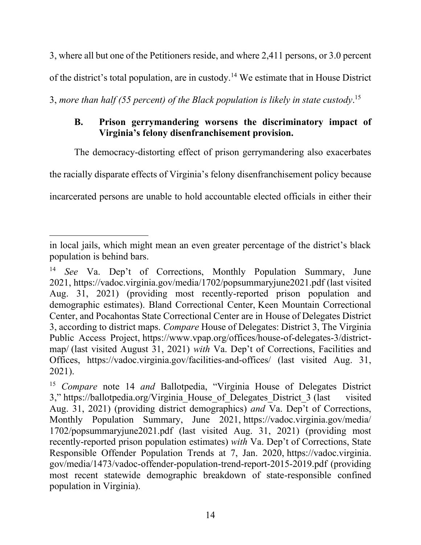3, where all but one of the Petitioners reside, and where 2,411 persons, or 3.0 percent

of the district's total population, are in custody.<sup>14</sup> We estimate that in House District

3, *more than half (55 percent) of the Black population is likely in state custody*. 15

## **B. Prison gerrymandering worsens the discriminatory impact of Virginia's felony disenfranchisement provision.**

The democracy-distorting effect of prison gerrymandering also exacerbates

the racially disparate effects of Virginia's felony disenfranchisement policy because

incarcerated persons are unable to hold accountable elected officials in either their

in local jails, which might mean an even greater percentage of the district's black population is behind bars.

See Va. Dep't of Corrections, Monthly Population Summary, June 2021, https://vadoc.virginia.gov/media/1702/popsummaryjune2021.pdf (last visited Aug. 31, 2021) (providing most recently-reported prison population and demographic estimates). Bland Correctional Center, Keen Mountain Correctional Center, and Pocahontas State Correctional Center are in House of Delegates District 3, according to district maps. *Compare* House of Delegates: District 3, The Virginia Public Access Project, https://www.vpap.org/offices/house-of-delegates-3/districtmap/ (last visited August 31, 2021) *with* Va. Dep't of Corrections, Facilities and Offices, https://vadoc.virginia.gov/facilities-and-offices/ (last visited Aug. 31, 2021).

<sup>15</sup> *Compare* note 14 *and* Ballotpedia, "Virginia House of Delegates District 3," https://ballotpedia.org/Virginia House of Delegates District 3 (last visited Aug. 31, 2021) (providing district demographics) *and* Va. Dep't of Corrections, Monthly Population Summary, June 2021, https://vadoc.virginia.gov/media/ 1702/popsummaryjune2021.pdf (last visited Aug. 31, 2021) (providing most recently-reported prison population estimates) *with* Va. Dep't of Corrections, State Responsible Offender Population Trends at 7, Jan. 2020, https://vadoc.virginia. gov/media/1473/vadoc-offender-population-trend-report-2015-2019.pdf (providing most recent statewide demographic breakdown of state-responsible confined population in Virginia).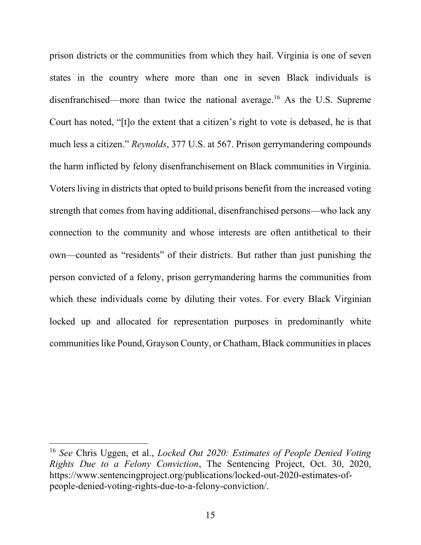prison districts or the communities from which they hail. Virginia is one of seven states in the country where more than one in seven Black individuals is disenfranchised—more than twice the national average.<sup>16</sup> As the U.S. Supreme Court has noted, "[t]o the extent that a citizen's right to vote is debased, he is that much less a citizen." *Reynolds*, 377 U.S. at 567. Prison gerrymandering compounds the harm inflicted by felony disenfranchisement on Black communities in Virginia. Voters living in districts that opted to build prisons benefit from the increased voting strength that comes from having additional, disenfranchised persons—who lack any connection to the community and whose interests are often antithetical to their own—counted as "residents" of their districts. But rather than just punishing the person convicted of a felony, prison gerrymandering harms the communities from which these individuals come by diluting their votes. For every Black Virginian locked up and allocated for representation purposes in predominantly white communities like Pound, Grayson County, or Chatham, Black communities in places

<sup>16</sup> *See* Chris Uggen, et al., *Locked Out 2020: Estimates of People Denied Voting Rights Due to a Felony Conviction*, The Sentencing Project, Oct. 30, 2020, https://www.sentencingproject.org/publications/locked-out-2020-estimates-ofpeople-denied-voting-rights-due-to-a-felony-conviction/.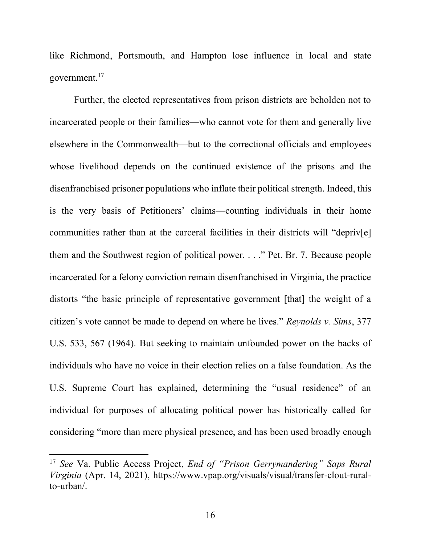like Richmond, Portsmouth, and Hampton lose influence in local and state government. 17

Further, the elected representatives from prison districts are beholden not to incarcerated people or their families—who cannot vote for them and generally live elsewhere in the Commonwealth—but to the correctional officials and employees whose livelihood depends on the continued existence of the prisons and the disenfranchised prisoner populations who inflate their political strength. Indeed, this is the very basis of Petitioners' claims—counting individuals in their home communities rather than at the carceral facilities in their districts will "depriv[e] them and the Southwest region of political power. . . ." Pet. Br. 7. Because people incarcerated for a felony conviction remain disenfranchised in Virginia, the practice distorts "the basic principle of representative government [that] the weight of a citizen's vote cannot be made to depend on where he lives." *Reynolds v. Sims*, 377 U.S. 533, 567 (1964). But seeking to maintain unfounded power on the backs of individuals who have no voice in their election relies on a false foundation. As the U.S. Supreme Court has explained, determining the "usual residence" of an individual for purposes of allocating political power has historically called for considering "more than mere physical presence, and has been used broadly enough

<sup>17</sup> *See* Va. Public Access Project, *End of "Prison Gerrymandering" Saps Rural Virginia* (Apr. 14, 2021), https://www.vpap.org/visuals/visual/transfer-clout-ruralto-urban/.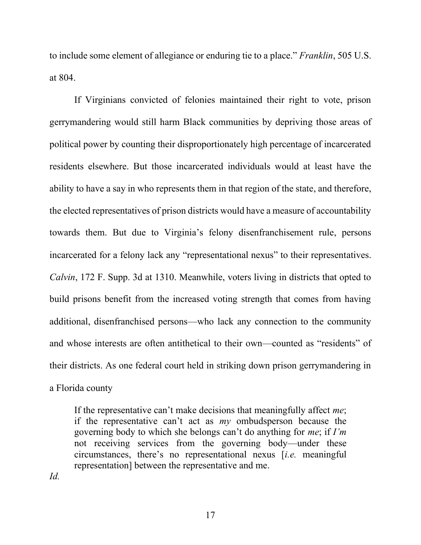to include some element of allegiance or enduring tie to a place." *Franklin*, 505 U.S. at 804.

If Virginians convicted of felonies maintained their right to vote, prison gerrymandering would still harm Black communities by depriving those areas of political power by counting their disproportionately high percentage of incarcerated residents elsewhere. But those incarcerated individuals would at least have the ability to have a say in who represents them in that region of the state, and therefore, the elected representatives of prison districts would have a measure of accountability towards them. But due to Virginia's felony disenfranchisement rule, persons incarcerated for a felony lack any "representational nexus" to their representatives. *Calvin*, 172 F. Supp. 3d at 1310. Meanwhile, voters living in districts that opted to build prisons benefit from the increased voting strength that comes from having additional, disenfranchised persons—who lack any connection to the community and whose interests are often antithetical to their own—counted as "residents" of their districts. As one federal court held in striking down prison gerrymandering in a Florida county

If the representative can't make decisions that meaningfully affect *me*; if the representative can't act as *my* ombudsperson because the governing body to which she belongs can't do anything for *me*; if *I'm* not receiving services from the governing body—under these circumstances, there's no representational nexus [*i.e.* meaningful representation] between the representative and me.

*Id.*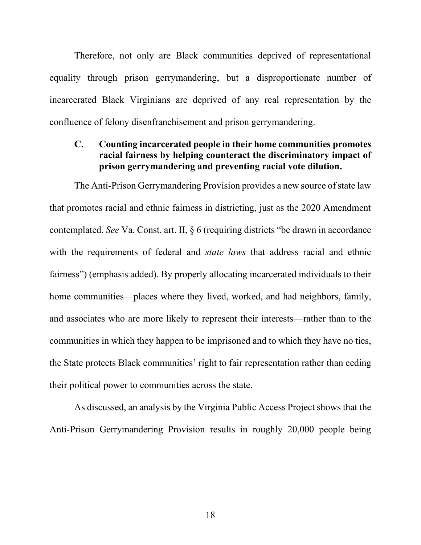Therefore, not only are Black communities deprived of representational equality through prison gerrymandering, but a disproportionate number of incarcerated Black Virginians are deprived of any real representation by the confluence of felony disenfranchisement and prison gerrymandering.

## **C. Counting incarcerated people in their home communities promotes racial fairness by helping counteract the discriminatory impact of prison gerrymandering and preventing racial vote dilution.**

The Anti-Prison Gerrymandering Provision provides a new source of state law that promotes racial and ethnic fairness in districting, just as the 2020 Amendment contemplated. *See* Va. Const. art. II, § 6 (requiring districts "be drawn in accordance with the requirements of federal and *state laws* that address racial and ethnic fairness") (emphasis added). By properly allocating incarcerated individuals to their home communities—places where they lived, worked, and had neighbors, family, and associates who are more likely to represent their interests—rather than to the communities in which they happen to be imprisoned and to which they have no ties, the State protects Black communities' right to fair representation rather than ceding their political power to communities across the state.

As discussed, an analysis by the Virginia Public Access Project shows that the Anti-Prison Gerrymandering Provision results in roughly 20,000 people being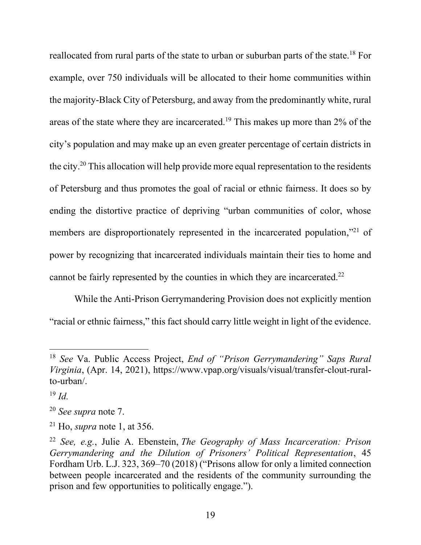reallocated from rural parts of the state to urban or suburban parts of the state.<sup>18</sup> For example, over 750 individuals will be allocated to their home communities within the majority-Black City of Petersburg, and away from the predominantly white, rural areas of the state where they are incarcerated.<sup>19</sup> This makes up more than 2% of the city's population and may make up an even greater percentage of certain districts in the city.<sup>20</sup> This allocation will help provide more equal representation to the residents of Petersburg and thus promotes the goal of racial or ethnic fairness. It does so by ending the distortive practice of depriving "urban communities of color, whose members are disproportionately represented in the incarcerated population,"<sup>21</sup> of power by recognizing that incarcerated individuals maintain their ties to home and cannot be fairly represented by the counties in which they are incarcerated.<sup>22</sup>

While the Anti-Prison Gerrymandering Provision does not explicitly mention "racial or ethnic fairness," this fact should carry little weight in light of the evidence.

<sup>18</sup> *See* Va. Public Access Project, *End of "Prison Gerrymandering" Saps Rural Virginia*, (Apr. 14, 2021), https://www.vpap.org/visuals/visual/transfer-clout-ruralto-urban/.

<sup>19</sup> *Id.*

<sup>20</sup> *See supra* note 7.

<sup>21</sup> Ho, *supra* note 1, at 356.

<sup>22</sup> *See, e.g.*, Julie A. Ebenstein, *The Geography of Mass Incarceration: Prison Gerrymandering and the Dilution of Prisoners' Political Representation*, 45 Fordham Urb. L.J. 323, 369–70 (2018) ("Prisons allow for only a limited connection between people incarcerated and the residents of the community surrounding the prison and few opportunities to politically engage.").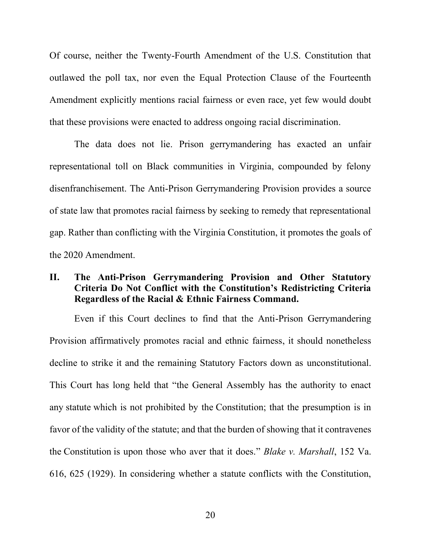Of course, neither the Twenty-Fourth Amendment of the U.S. Constitution that outlawed the poll tax, nor even the Equal Protection Clause of the Fourteenth Amendment explicitly mentions racial fairness or even race, yet few would doubt that these provisions were enacted to address ongoing racial discrimination.

The data does not lie. Prison gerrymandering has exacted an unfair representational toll on Black communities in Virginia, compounded by felony disenfranchisement. The Anti-Prison Gerrymandering Provision provides a source of state law that promotes racial fairness by seeking to remedy that representational gap. Rather than conflicting with the Virginia Constitution, it promotes the goals of the 2020 Amendment.

## **II. The Anti-Prison Gerrymandering Provision and Other Statutory Criteria Do Not Conflict with the Constitution's Redistricting Criteria Regardless of the Racial & Ethnic Fairness Command.**

Even if this Court declines to find that the Anti-Prison Gerrymandering Provision affirmatively promotes racial and ethnic fairness, it should nonetheless decline to strike it and the remaining Statutory Factors down as unconstitutional. This Court has long held that "the General Assembly has the authority to enact any statute which is not prohibited by the Constitution; that the presumption is in favor of the validity of the statute; and that the burden of showing that it contravenes the Constitution is upon those who aver that it does." *Blake v. Marshall*, 152 Va. 616, 625 (1929). In considering whether a statute conflicts with the Constitution,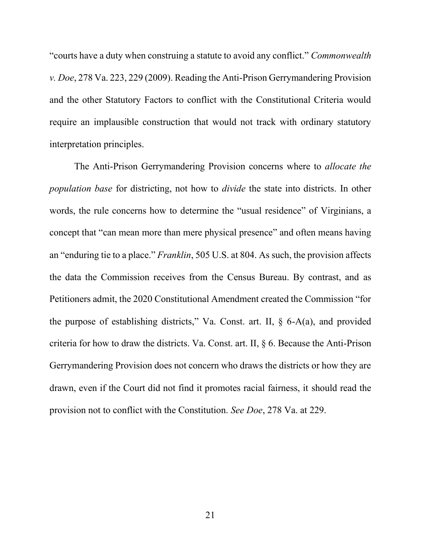"courts have a duty when construing a statute to avoid any conflict." *Commonwealth v. Doe*, 278 Va. 223, 229 (2009). Reading the Anti-Prison Gerrymandering Provision and the other Statutory Factors to conflict with the Constitutional Criteria would require an implausible construction that would not track with ordinary statutory interpretation principles.

The Anti-Prison Gerrymandering Provision concerns where to *allocate the population base* for districting, not how to *divide* the state into districts. In other words, the rule concerns how to determine the "usual residence" of Virginians, a concept that "can mean more than mere physical presence" and often means having an "enduring tie to a place." *Franklin*, 505 U.S. at 804. As such, the provision affects the data the Commission receives from the Census Bureau. By contrast, and as Petitioners admit, the 2020 Constitutional Amendment created the Commission "for the purpose of establishing districts," Va. Const. art. II,  $\S$  6-A(a), and provided criteria for how to draw the districts. Va. Const. art. II, § 6. Because the Anti-Prison Gerrymandering Provision does not concern who draws the districts or how they are drawn, even if the Court did not find it promotes racial fairness, it should read the provision not to conflict with the Constitution. *See Doe*, 278 Va. at 229.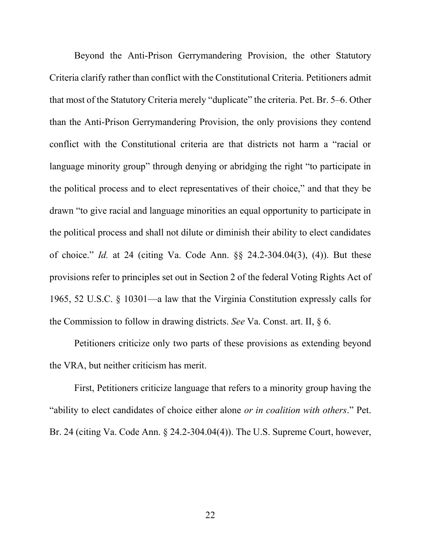Beyond the Anti-Prison Gerrymandering Provision, the other Statutory Criteria clarify rather than conflict with the Constitutional Criteria. Petitioners admit that most of the Statutory Criteria merely "duplicate" the criteria. Pet. Br. 5–6. Other than the Anti-Prison Gerrymandering Provision, the only provisions they contend conflict with the Constitutional criteria are that districts not harm a "racial or language minority group" through denying or abridging the right "to participate in the political process and to elect representatives of their choice," and that they be drawn "to give racial and language minorities an equal opportunity to participate in the political process and shall not dilute or diminish their ability to elect candidates of choice." *Id.* at 24 (citing Va. Code Ann. §§ 24.2-304.04(3), (4)). But these provisions refer to principles set out in Section 2 of the federal Voting Rights Act of 1965, 52 U.S.C. § 10301—a law that the Virginia Constitution expressly calls for the Commission to follow in drawing districts. *See* Va. Const. art. II, § 6.

Petitioners criticize only two parts of these provisions as extending beyond the VRA, but neither criticism has merit.

First, Petitioners criticize language that refers to a minority group having the "ability to elect candidates of choice either alone *or in coalition with others*." Pet. Br. 24 (citing Va. Code Ann. § 24.2-304.04(4)). The U.S. Supreme Court, however,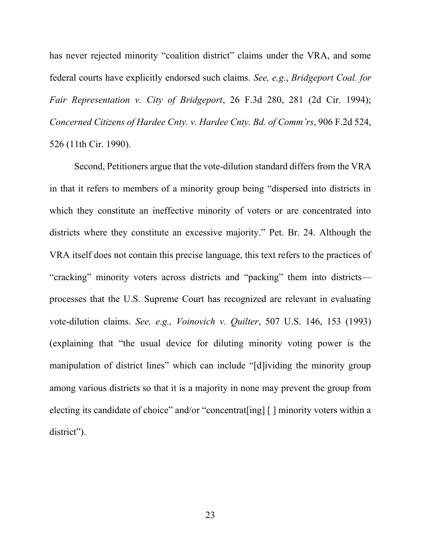has never rejected minority "coalition district" claims under the VRA, and some federal courts have explicitly endorsed such claims. *See, e.g.*, *Bridgeport Coal. for Fair Representation v. City of Bridgeport*, 26 F.3d 280, 281 (2d Cir. 1994); *Concerned Citizens of Hardee Cnty. v. Hardee Cnty. Bd. of Comm'rs*, 906 F.2d 524, 526 (11th Cir. 1990).

Second, Petitioners argue that the vote-dilution standard differs from the VRA in that it refers to members of a minority group being "dispersed into districts in which they constitute an ineffective minority of voters or are concentrated into districts where they constitute an excessive majority." Pet. Br. 24. Although the VRA itself does not contain this precise language, this text refers to the practices of "cracking" minority voters across districts and "packing" them into districts processes that the U.S. Supreme Court has recognized are relevant in evaluating vote-dilution claims. *See, e.g., Voinovich v. Quilter*, 507 U.S. 146, 153 (1993) (explaining that "the usual device for diluting minority voting power is the manipulation of district lines" which can include "[d]ividing the minority group among various districts so that it is a majority in none may prevent the group from electing its candidate of choice" and/or "concentrat[ing] [] minority voters within a district").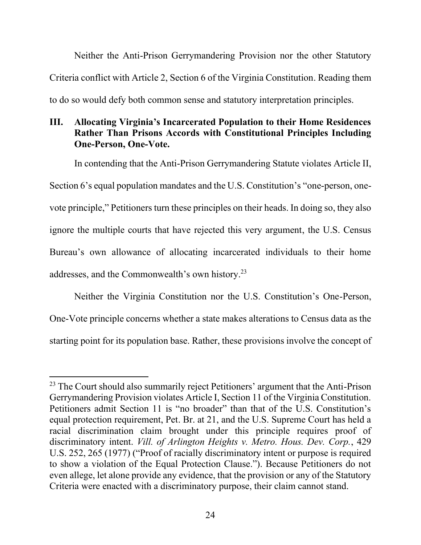Neither the Anti-Prison Gerrymandering Provision nor the other Statutory Criteria conflict with Article 2, Section 6 of the Virginia Constitution. Reading them to do so would defy both common sense and statutory interpretation principles.

## **III. Allocating Virginia's Incarcerated Population to their Home Residences Rather Than Prisons Accords with Constitutional Principles Including One-Person, One-Vote.**

In contending that the Anti-Prison Gerrymandering Statute violates Article II, Section 6's equal population mandates and the U.S. Constitution's "one-person, onevote principle," Petitioners turn these principles on their heads. In doing so, they also ignore the multiple courts that have rejected this very argument, the U.S. Census Bureau's own allowance of allocating incarcerated individuals to their home addresses, and the Commonwealth's own history.<sup>23</sup>

Neither the Virginia Constitution nor the U.S. Constitution's One-Person, One-Vote principle concerns whether a state makes alterations to Census data as the starting point for its population base. Rather, these provisions involve the concept of

<sup>&</sup>lt;sup>23</sup> The Court should also summarily reject Petitioners' argument that the Anti-Prison Gerrymandering Provision violates Article I, Section 11 of the Virginia Constitution. Petitioners admit Section 11 is "no broader" than that of the U.S. Constitution's equal protection requirement, Pet. Br. at 21, and the U.S. Supreme Court has held a racial discrimination claim brought under this principle requires proof of discriminatory intent. *Vill. of Arlington Heights v. Metro. Hous. Dev. Corp.*, 429 U.S. 252, 265 (1977) ("Proof of racially discriminatory intent or purpose is required to show a violation of the Equal Protection Clause."). Because Petitioners do not even allege, let alone provide any evidence, that the provision or any of the Statutory Criteria were enacted with a discriminatory purpose, their claim cannot stand.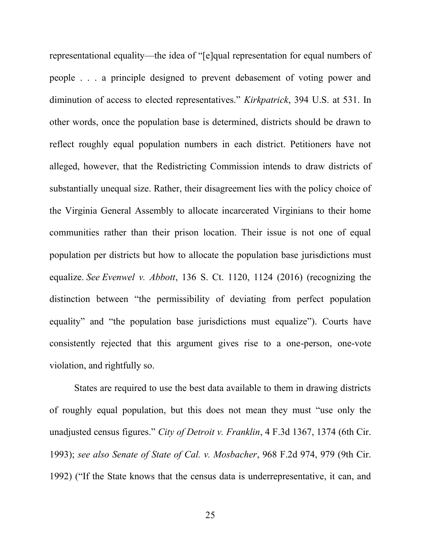representational equality—the idea of "[e]qual representation for equal numbers of people . . . a principle designed to prevent debasement of voting power and diminution of access to elected representatives." *Kirkpatrick*, 394 U.S. at 531. In other words, once the population base is determined, districts should be drawn to reflect roughly equal population numbers in each district. Petitioners have not alleged, however, that the Redistricting Commission intends to draw districts of substantially unequal size. Rather, their disagreement lies with the policy choice of the Virginia General Assembly to allocate incarcerated Virginians to their home communities rather than their prison location. Their issue is not one of equal population per districts but how to allocate the population base jurisdictions must equalize. *See Evenwel v. Abbott*, 136 S. Ct. 1120, 1124 (2016) (recognizing the distinction between "the permissibility of deviating from perfect population equality" and "the population base jurisdictions must equalize"). Courts have consistently rejected that this argument gives rise to a one-person, one-vote violation, and rightfully so.

States are required to use the best data available to them in drawing districts of roughly equal population, but this does not mean they must "use only the unadjusted census figures." *City of Detroit v. Franklin*, 4 F.3d 1367, 1374 (6th Cir. 1993); *see also Senate of State of Cal. v. Mosbacher*, 968 F.2d 974, 979 (9th Cir. 1992) ("If the State knows that the census data is underrepresentative, it can, and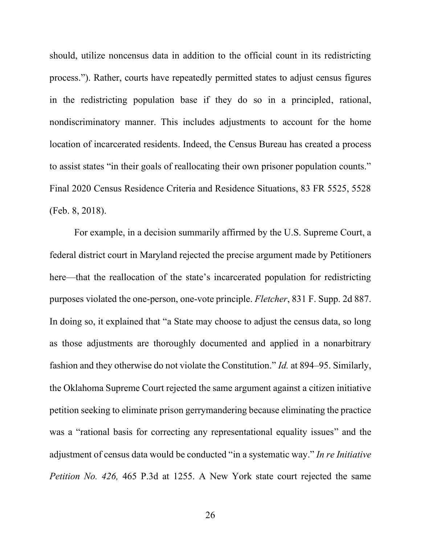should, utilize noncensus data in addition to the official count in its redistricting process."). Rather, courts have repeatedly permitted states to adjust census figures in the redistricting population base if they do so in a principled, rational, nondiscriminatory manner. This includes adjustments to account for the home location of incarcerated residents. Indeed, the Census Bureau has created a process to assist states "in their goals of reallocating their own prisoner population counts." Final 2020 Census Residence Criteria and Residence Situations, 83 FR 5525, 5528 (Feb. 8, 2018).

For example, in a decision summarily affirmed by the U.S. Supreme Court, a federal district court in Maryland rejected the precise argument made by Petitioners here—that the reallocation of the state's incarcerated population for redistricting purposes violated the one-person, one-vote principle. *Fletcher*, 831 F. Supp. 2d 887. In doing so, it explained that "a State may choose to adjust the census data, so long as those adjustments are thoroughly documented and applied in a nonarbitrary fashion and they otherwise do not violate the Constitution." *Id.* at 894–95. Similarly, the Oklahoma Supreme Court rejected the same argument against a citizen initiative petition seeking to eliminate prison gerrymandering because eliminating the practice was a "rational basis for correcting any representational equality issues" and the adjustment of census data would be conducted "in a systematic way." *In re Initiative Petition No. 426,* 465 P.3d at 1255. A New York state court rejected the same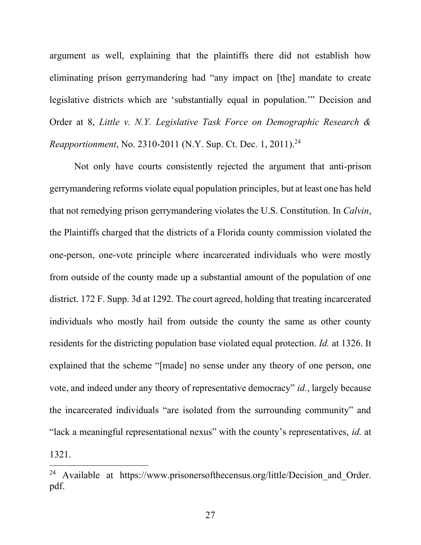argument as well, explaining that the plaintiffs there did not establish how eliminating prison gerrymandering had "any impact on [the] mandate to create legislative districts which are 'substantially equal in population.'" Decision and Order at 8, *Little v. N.Y. Legislative Task Force on Demographic Research & Reapportionment*, No. 2310-2011 (N.Y. Sup. Ct. Dec. 1, 2011). 24

Not only have courts consistently rejected the argument that anti-prison gerrymandering reforms violate equal population principles, but at least one has held that not remedying prison gerrymandering violates the U.S. Constitution. In *Calvin*, the Plaintiffs charged that the districts of a Florida county commission violated the one-person, one-vote principle where incarcerated individuals who were mostly from outside of the county made up a substantial amount of the population of one district. 172 F. Supp. 3d at 1292. The court agreed, holding that treating incarcerated individuals who mostly hail from outside the county the same as other county residents for the districting population base violated equal protection. *Id.* at 1326. It explained that the scheme "[made] no sense under any theory of one person, one vote, and indeed under any theory of representative democracy" *id.*, largely because the incarcerated individuals "are isolated from the surrounding community" and "lack a meaningful representational nexus" with the county's representatives, *id.* at 1321.

<sup>&</sup>lt;sup>24</sup> Available at https://www.prisonersofthecensus.org/little/Decision and Order. pdf.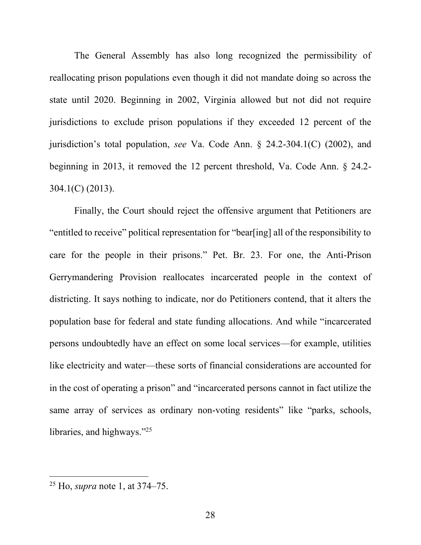The General Assembly has also long recognized the permissibility of reallocating prison populations even though it did not mandate doing so across the state until 2020. Beginning in 2002, Virginia allowed but not did not require jurisdictions to exclude prison populations if they exceeded 12 percent of the jurisdiction's total population, *see* Va. Code Ann. § 24.2-304.1(C) (2002), and beginning in 2013, it removed the 12 percent threshold, Va. Code Ann. § 24.2- 304.1(C) (2013).

Finally, the Court should reject the offensive argument that Petitioners are "entitled to receive" political representation for "bear[ing] all of the responsibility to care for the people in their prisons." Pet. Br. 23. For one, the Anti-Prison Gerrymandering Provision reallocates incarcerated people in the context of districting. It says nothing to indicate, nor do Petitioners contend, that it alters the population base for federal and state funding allocations. And while "incarcerated persons undoubtedly have an effect on some local services—for example, utilities like electricity and water—these sorts of financial considerations are accounted for in the cost of operating a prison" and "incarcerated persons cannot in fact utilize the same array of services as ordinary non-voting residents" like "parks, schools, libraries, and highways."<sup>25</sup>

<sup>25</sup> Ho, *supra* note 1, at 374–75.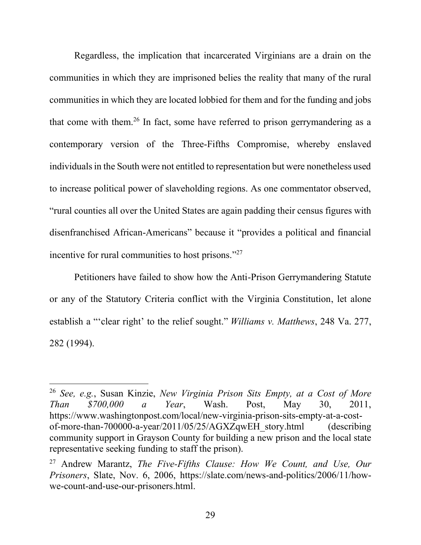Regardless, the implication that incarcerated Virginians are a drain on the communities in which they are imprisoned belies the reality that many of the rural communities in which they are located lobbied for them and for the funding and jobs that come with them.<sup>26</sup> In fact, some have referred to prison gerrymandering as a contemporary version of the Three-Fifths Compromise, whereby enslaved individuals in the South were not entitled to representation but were nonetheless used to increase political power of slaveholding regions. As one commentator observed, "rural counties all over the United States are again padding their census figures with disenfranchised African-Americans" because it "provides a political and financial incentive for rural communities to host prisons."<sup>27</sup>

Petitioners have failed to show how the Anti-Prison Gerrymandering Statute or any of the Statutory Criteria conflict with the Virginia Constitution, let alone establish a "'clear right' to the relief sought." *Williams v. Matthews*, 248 Va. 277, 282 (1994).

<sup>26</sup> *See, e.g.*, Susan Kinzie, *New Virginia Prison Sits Empty, at a Cost of More Than \$700,000 a Year*, Wash. Post, May 30, 2011, https://www.washingtonpost.com/local/new-virginia-prison-sits-empty-at-a-costof-more-than-700000-a-year/2011/05/25/AGXZqwEH\_story.html (describing community support in Grayson County for building a new prison and the local state representative seeking funding to staff the prison).

<sup>27</sup> Andrew Marantz, *The Five-Fifths Clause: How We Count, and Use, Our Prisoners*, Slate, Nov. 6, 2006, https://slate.com/news-and-politics/2006/11/howwe-count-and-use-our-prisoners.html.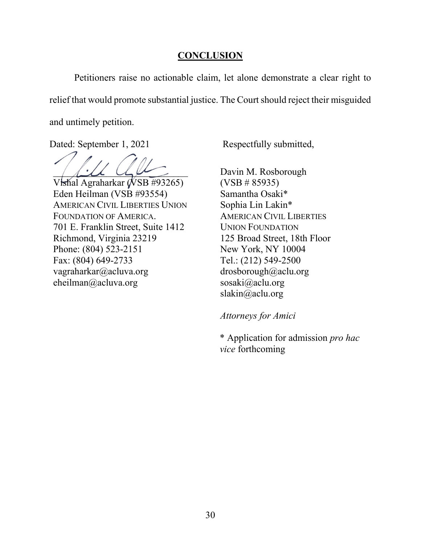#### **CONCLUSION**

Petitioners raise no actionable claim, let alone demonstrate a clear right to relief that would promote substantial justice. The Court should reject their misguided and untimely petition.

Dated: September 1, 2021 Respectfully submitted,

 $\frac{1}{2}$ 

Vishal Agraharkar (VSB #93265) Eden Heilman (VSB #93554) AMERICAN CIVIL LIBERTIES UNION FOUNDATION OF AMERICA. 701 E. Franklin Street, Suite 1412 Richmond, Virginia 23219 Phone: (804) 523-2151 Fax: (804) 649-2733 vagraharkar@acluva.org eheilman@acluva.org

Davin M. Rosborough  $(VSB # 85935)$ Samantha Osaki\* Sophia Lin Lakin\* AMERICAN CIVIL LIBERTIES UNION FOUNDATION 125 Broad Street, 18th Floor New York, NY 10004 Tel.: (212) 549-2500 drosborough@aclu.org sosaki@aclu.org slakin@aclu.org

*Attorneys for Amici*

\* Application for admission *pro hac vice* forthcoming